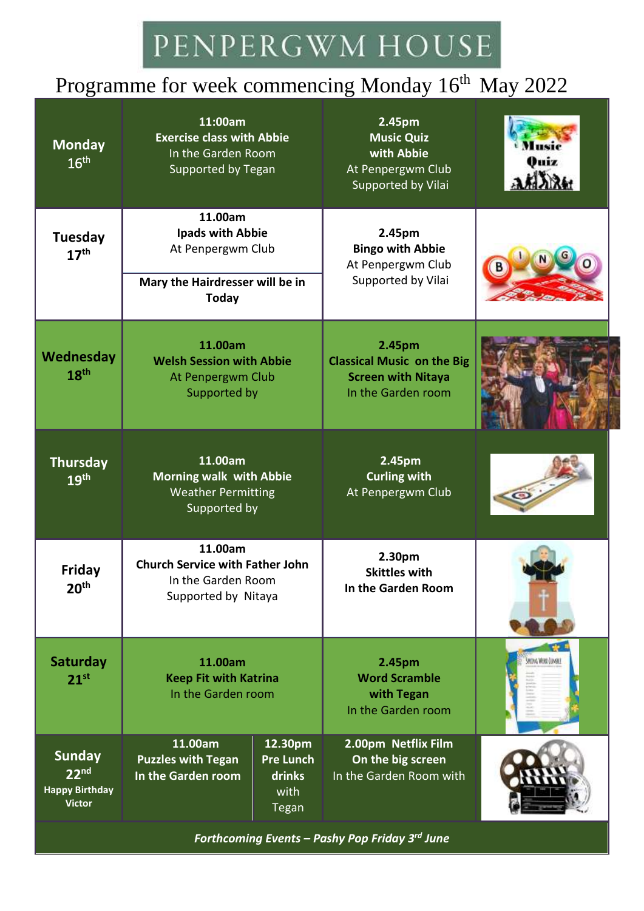## PENPERGWM HOUSE

### Programme for week commencing Monday 16<sup>th</sup> May 2022

| <b>Monday</b><br>16 <sup>th</sup>                                           | 11:00am<br><b>Exercise class with Abbie</b><br>In the Garden Room<br>Supported by Tegan                    |                                                               | 2.45pm<br><b>Music Quiz</b><br>with Abbie<br>At Penpergwm Club<br>Supported by Vilai           |                         |
|-----------------------------------------------------------------------------|------------------------------------------------------------------------------------------------------------|---------------------------------------------------------------|------------------------------------------------------------------------------------------------|-------------------------|
| Tuesday<br>17 <sup>th</sup>                                                 | 11.00am<br><b>Ipads with Abbie</b><br>At Penpergwm Club<br>Mary the Hairdresser will be in<br><b>Today</b> |                                                               | 2.45pm<br><b>Bingo with Abbie</b><br>At Penpergwm Club<br>Supported by Vilai                   |                         |
| Wednesday<br>18 <sup>th</sup>                                               | 11.00am<br><b>Welsh Session with Abbie</b><br>At Penpergwm Club<br>Supported by                            |                                                               | 2.45pm<br><b>Classical Music on the Big</b><br><b>Screen with Nitaya</b><br>In the Garden room |                         |
| <b>Thursday</b><br>19 <sup>th</sup>                                         | 11.00am<br><b>Morning walk with Abbie</b><br><b>Weather Permitting</b><br>Supported by                     |                                                               | 2.45pm<br><b>Curling with</b><br>At Penpergwm Club                                             |                         |
| Friday<br>20 <sup>th</sup>                                                  | 11.00am<br><b>Church Service with Father John</b><br>In the Garden Room<br>Supported by Nitaya             |                                                               | 2.30pm<br><b>Skittles with</b><br>In the Garden Room                                           |                         |
| Saturday<br>$21^{st}$                                                       | 11.00am<br><b>Keep Fit with Katrina</b><br>In the Garden room                                              |                                                               | 2.45pm<br><b>Word Scramble</b><br>with Tegan<br>In the Garden room                             | <b>HOVA WORD JUVAKI</b> |
| <b>Sunday</b><br>22 <sup>nd</sup><br><b>Happy Birthday</b><br><b>Victor</b> | 11.00am<br><b>Puzzles with Tegan</b><br>In the Garden room                                                 | 12.30pm<br><b>Pre Lunch</b><br>drinks<br>with<br><b>Tegan</b> | 2.00pm Netflix Film<br>On the big screen<br>In the Garden Room with                            |                         |

*Forthcoming Events – Pashy Pop Friday 3rd June*